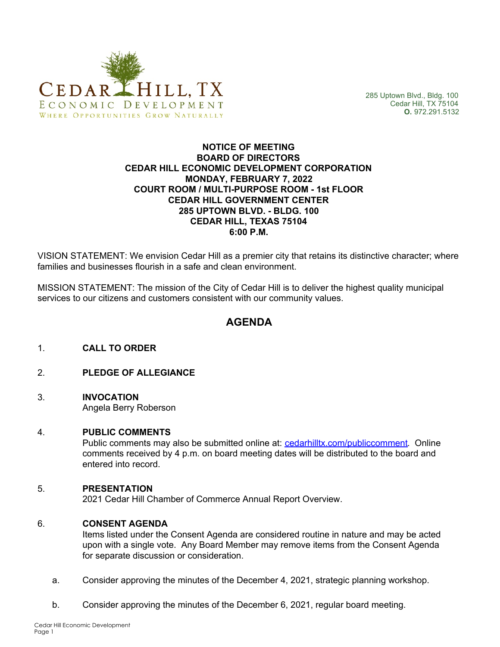

285 Uptown Blvd., Bldg. 100 Cedar Hill, TX 75104 **O.** 972.291.5132

### **NOTICE OF MEETING BOARD OF DIRECTORS CEDAR HILL ECONOMIC DEVELOPMENT CORPORATION MONDAY, FEBRUARY 7, 2022 COURT ROOM / MULTI-PURPOSE ROOM - 1st FLOOR CEDAR HILL GOVERNMENT CENTER 285 UPTOWN BLVD. - BLDG. 100 CEDAR HILL, TEXAS 75104 6:00 P.M.**

VISION STATEMENT: We envision Cedar Hill as a premier city that retains its distinctive character; where families and businesses flourish in a safe and clean environment.

MISSION STATEMENT: The mission of the City of Cedar Hill is to deliver the highest quality municipal services to our citizens and customers consistent with our community values.

# **AGENDA**

- 1. **CALL TO ORDER**
- 2. **PLEDGE OF ALLEGIANCE**
- 3. **INVOCATION** Angela Berry Roberson

### 4. **PUBLIC COMMENTS**

Public comments may also be submitted online at: [cedarhilltx.com/publiccomment](http://www.cedarhilltx.com/publiccomment). Online comments received by 4 p.m. on board meeting dates will be distributed to the board and entered into record.

### 5. **PRESENTATION**

2021 Cedar Hill Chamber of Commerce Annual Report Overview.

### 6. **CONSENT AGENDA**

Items listed under the Consent Agenda are considered routine in nature and may be acted upon with a single vote. Any Board Member may remove items from the Consent Agenda for separate discussion or consideration.

- a. Consider approving the minutes of the December 4, 2021, strategic planning workshop.
- b. Consider approving the minutes of the December 6, 2021, regular board meeting.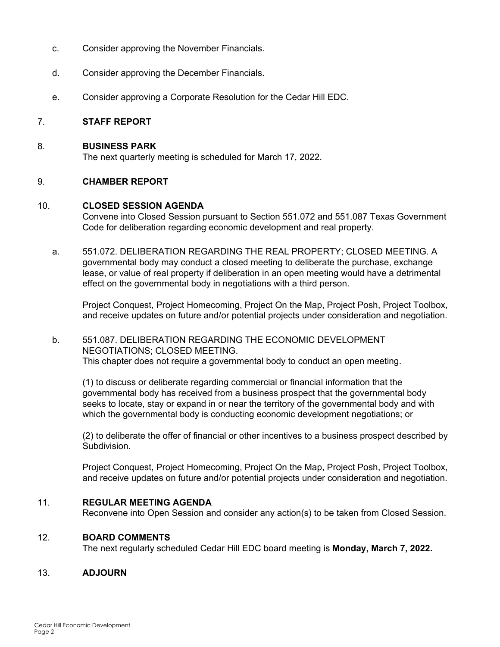- c. Consider approving the November Financials.
- d. Consider approving the December Financials.
- e. Consider approving a Corporate Resolution for the Cedar Hill EDC.

### 7. **STAFF REPORT**

### 8. **BUSINESS PARK**

The next quarterly meeting is scheduled for March 17, 2022.

# 9. **CHAMBER REPORT**

### 10. **CLOSED SESSION AGENDA**

Convene into Closed Session pursuant to Section 551.072 and 551.087 Texas Government Code for deliberation regarding economic development and real property.

a. 551.072. DELIBERATION REGARDING THE REAL PROPERTY; CLOSED MEETING. A governmental body may conduct a closed meeting to deliberate the purchase, exchange lease, or value of real property if deliberation in an open meeting would have a detrimental effect on the governmental body in negotiations with a third person.

Project Conquest, Project Homecoming, Project On the Map, Project Posh, Project Toolbox, and receive updates on future and/or potential projects under consideration and negotiation.

### b. 551.087. DELIBERATION REGARDING THE ECONOMIC DEVELOPMENT NEGOTIATIONS; CLOSED MEETING. This chapter does not require a governmental body to conduct an open meeting.

(1) to discuss or deliberate regarding commercial or financial information that the governmental body has received from a business prospect that the governmental body seeks to locate, stay or expand in or near the territory of the governmental body and with which the governmental body is conducting economic development negotiations; or

(2) to deliberate the offer of financial or other incentives to a business prospect described by Subdivision.

Project Conquest, Project Homecoming, Project On the Map, Project Posh, Project Toolbox, and receive updates on future and/or potential projects under consideration and negotiation.

### 11. **REGULAR MEETING AGENDA**

Reconvene into Open Session and consider any action(s) to be taken from Closed Session.

### 12. **BOARD COMMENTS**

The next regularly scheduled Cedar Hill EDC board meeting is **Monday, March 7, 2022.**

# 13. **ADJOURN**